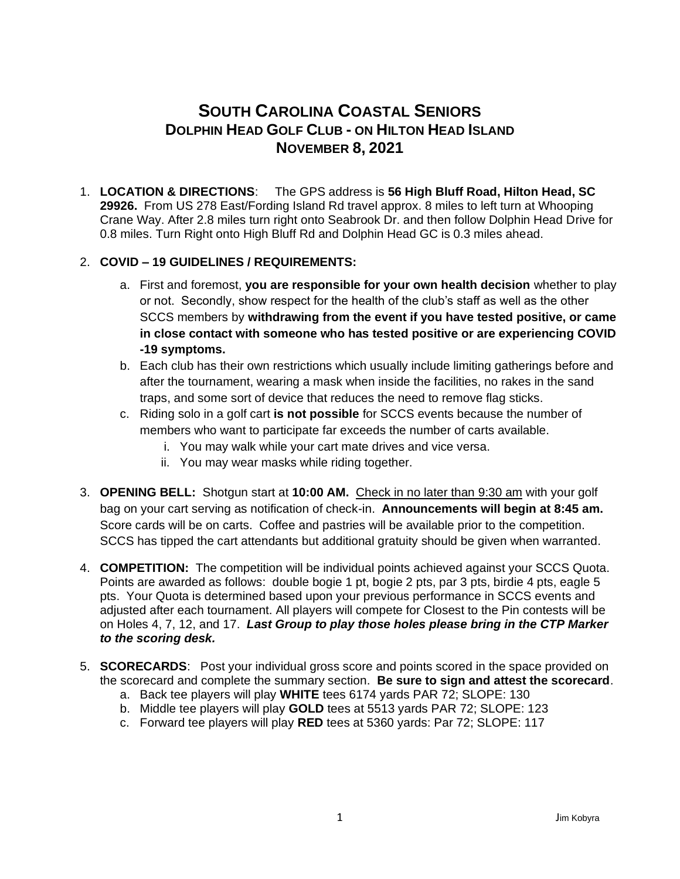## **SOUTH CAROLINA COASTAL SENIORS DOLPHIN HEAD GOLF CLUB - ON HILTON HEAD ISLAND NOVEMBER 8, 2021**

1. **LOCATION & DIRECTIONS**: The GPS address is **56 High Bluff Road, Hilton Head, SC 29926.** From US 278 East/Fording Island Rd travel approx. 8 miles to left turn at Whooping Crane Way. After 2.8 miles turn right onto Seabrook Dr. and then follow Dolphin Head Drive for 0.8 miles. Turn Right onto High Bluff Rd and Dolphin Head GC is 0.3 miles ahead.

## 2. **COVID – 19 GUIDELINES / REQUIREMENTS:**

- a. First and foremost, **you are responsible for your own health decision** whether to play or not. Secondly, show respect for the health of the club's staff as well as the other SCCS members by **withdrawing from the event if you have tested positive, or came in close contact with someone who has tested positive or are experiencing COVID -19 symptoms.**
- b. Each club has their own restrictions which usually include limiting gatherings before and after the tournament, wearing a mask when inside the facilities, no rakes in the sand traps, and some sort of device that reduces the need to remove flag sticks.
- c. Riding solo in a golf cart **is not possible** for SCCS events because the number of members who want to participate far exceeds the number of carts available.
	- i. You may walk while your cart mate drives and vice versa.
	- ii. You may wear masks while riding together.
- 3. **OPENING BELL:** Shotgun start at **10:00 AM.** Check in no later than 9:30 am with your golf bag on your cart serving as notification of check-in. **Announcements will begin at 8:45 am.**  Score cards will be on carts. Coffee and pastries will be available prior to the competition. SCCS has tipped the cart attendants but additional gratuity should be given when warranted.
- 4. **COMPETITION:** The competition will be individual points achieved against your SCCS Quota. Points are awarded as follows: double bogie 1 pt, bogie 2 pts, par 3 pts, birdie 4 pts, eagle 5 pts. Your Quota is determined based upon your previous performance in SCCS events and adjusted after each tournament. All players will compete for Closest to the Pin contests will be on Holes 4, 7, 12, and 17. *Last Group to play those holes please bring in the CTP Marker to the scoring desk.*
- 5. **SCORECARDS**: Post your individual gross score and points scored in the space provided on the scorecard and complete the summary section. **Be sure to sign and attest the scorecard**.
	- a. Back tee players will play **WHITE** tees 6174 yards PAR 72; SLOPE: 130
	- b. Middle tee players will play **GOLD** tees at 5513 yards PAR 72; SLOPE: 123
	- c. Forward tee players will play **RED** tees at 5360 yards: Par 72; SLOPE: 117